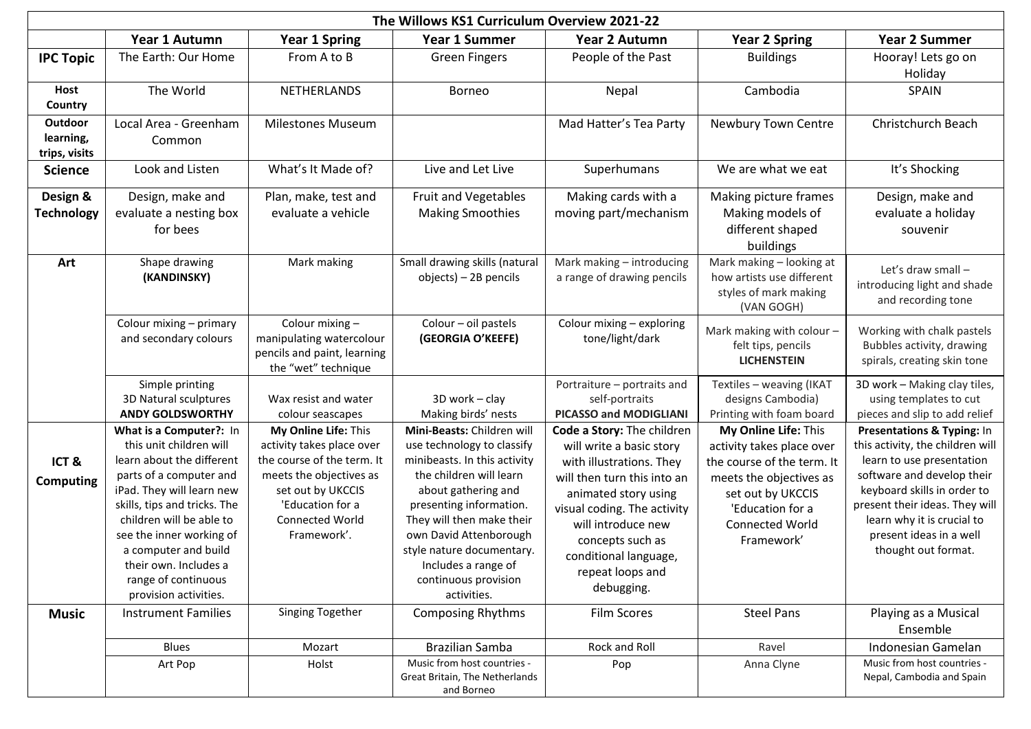| The Willows KS1 Curriculum Overview 2021-22 |                                                                                                                                                                                                                                                                                                                                  |                                                                                                                                                                                              |                                                                                                                                                                                                                                                                                                                         |                                                                                                                                                                                                                                                                               |                                                                                                                                                                                      |                                                                                                                                                                                                                                                                            |  |
|---------------------------------------------|----------------------------------------------------------------------------------------------------------------------------------------------------------------------------------------------------------------------------------------------------------------------------------------------------------------------------------|----------------------------------------------------------------------------------------------------------------------------------------------------------------------------------------------|-------------------------------------------------------------------------------------------------------------------------------------------------------------------------------------------------------------------------------------------------------------------------------------------------------------------------|-------------------------------------------------------------------------------------------------------------------------------------------------------------------------------------------------------------------------------------------------------------------------------|--------------------------------------------------------------------------------------------------------------------------------------------------------------------------------------|----------------------------------------------------------------------------------------------------------------------------------------------------------------------------------------------------------------------------------------------------------------------------|--|
|                                             | Year 1 Autumn                                                                                                                                                                                                                                                                                                                    | <b>Year 1 Spring</b>                                                                                                                                                                         | <b>Year 1 Summer</b>                                                                                                                                                                                                                                                                                                    | Year 2 Autumn                                                                                                                                                                                                                                                                 | <b>Year 2 Spring</b>                                                                                                                                                                 | <b>Year 2 Summer</b>                                                                                                                                                                                                                                                       |  |
| <b>IPC Topic</b>                            | The Earth: Our Home                                                                                                                                                                                                                                                                                                              | From A to B                                                                                                                                                                                  | <b>Green Fingers</b>                                                                                                                                                                                                                                                                                                    | People of the Past                                                                                                                                                                                                                                                            | <b>Buildings</b>                                                                                                                                                                     | Hooray! Lets go on<br>Holiday                                                                                                                                                                                                                                              |  |
| Host<br>Country                             | The World                                                                                                                                                                                                                                                                                                                        | NETHERLANDS                                                                                                                                                                                  | <b>Borneo</b>                                                                                                                                                                                                                                                                                                           | Nepal                                                                                                                                                                                                                                                                         | Cambodia                                                                                                                                                                             | <b>SPAIN</b>                                                                                                                                                                                                                                                               |  |
| Outdoor<br>learning,<br>trips, visits       | Local Area - Greenham<br>Common                                                                                                                                                                                                                                                                                                  | <b>Milestones Museum</b>                                                                                                                                                                     |                                                                                                                                                                                                                                                                                                                         | Mad Hatter's Tea Party                                                                                                                                                                                                                                                        | Newbury Town Centre                                                                                                                                                                  | Christchurch Beach                                                                                                                                                                                                                                                         |  |
| <b>Science</b>                              | Look and Listen                                                                                                                                                                                                                                                                                                                  | What's It Made of?                                                                                                                                                                           | Live and Let Live                                                                                                                                                                                                                                                                                                       | Superhumans                                                                                                                                                                                                                                                                   | We are what we eat                                                                                                                                                                   | It's Shocking                                                                                                                                                                                                                                                              |  |
| Design &<br><b>Technology</b>               | Design, make and<br>evaluate a nesting box<br>for bees                                                                                                                                                                                                                                                                           | Plan, make, test and<br>evaluate a vehicle                                                                                                                                                   | Fruit and Vegetables<br><b>Making Smoothies</b>                                                                                                                                                                                                                                                                         | Making cards with a<br>moving part/mechanism                                                                                                                                                                                                                                  | Making picture frames<br>Making models of<br>different shaped<br>buildings                                                                                                           | Design, make and<br>evaluate a holiday<br>souvenir                                                                                                                                                                                                                         |  |
| Art                                         | Shape drawing<br>(KANDINSKY)                                                                                                                                                                                                                                                                                                     | Mark making                                                                                                                                                                                  | Small drawing skills (natural<br>objects) - 2B pencils                                                                                                                                                                                                                                                                  | Mark making - introducing<br>a range of drawing pencils                                                                                                                                                                                                                       | Mark making - looking at<br>how artists use different<br>styles of mark making<br>(VAN GOGH)                                                                                         | Let's draw small -<br>introducing light and shade<br>and recording tone                                                                                                                                                                                                    |  |
|                                             | Colour mixing - primary<br>and secondary colours                                                                                                                                                                                                                                                                                 | Colour mixing -<br>manipulating watercolour<br>pencils and paint, learning<br>the "wet" technique                                                                                            | Colour - oil pastels<br>(GEORGIA O'KEEFE)                                                                                                                                                                                                                                                                               | Colour mixing - exploring<br>tone/light/dark                                                                                                                                                                                                                                  | Mark making with colour -<br>felt tips, pencils<br><b>LICHENSTEIN</b>                                                                                                                | Working with chalk pastels<br>Bubbles activity, drawing<br>spirals, creating skin tone                                                                                                                                                                                     |  |
|                                             | Simple printing<br>3D Natural sculptures<br><b>ANDY GOLDSWORTHY</b>                                                                                                                                                                                                                                                              | Wax resist and water<br>colour seascapes                                                                                                                                                     | 3D work - clay<br>Making birds' nests                                                                                                                                                                                                                                                                                   | Portraiture - portraits and<br>self-portraits<br>PICASSO and MODIGLIANI                                                                                                                                                                                                       | Textiles - weaving (IKAT<br>designs Cambodia)<br>Printing with foam board                                                                                                            | 3D work - Making clay tiles,<br>using templates to cut<br>pieces and slip to add relief                                                                                                                                                                                    |  |
| ICT&<br><b>Computing</b>                    | What is a Computer?: In<br>this unit children will<br>learn about the different<br>parts of a computer and<br>iPad. They will learn new<br>skills, tips and tricks. The<br>children will be able to<br>see the inner working of<br>a computer and build<br>their own. Includes a<br>range of continuous<br>provision activities. | My Online Life: This<br>activity takes place over<br>the course of the term. It<br>meets the objectives as<br>set out by UKCCIS<br>'Education for a<br><b>Connected World</b><br>Framework'. | Mini-Beasts: Children will<br>use technology to classify<br>minibeasts. In this activity<br>the children will learn<br>about gathering and<br>presenting information.<br>They will then make their<br>own David Attenborough<br>style nature documentary.<br>Includes a range of<br>continuous provision<br>activities. | Code a Story: The children<br>will write a basic story<br>with illustrations. They<br>will then turn this into an<br>animated story using<br>visual coding. The activity<br>will introduce new<br>concepts such as<br>conditional language,<br>repeat loops and<br>debugging. | My Online Life: This<br>activity takes place over<br>the course of the term. It<br>meets the objectives as<br>set out by UKCCIS<br>'Education for a<br>Connected World<br>Framework' | Presentations & Typing: In<br>this activity, the children will<br>learn to use presentation<br>software and develop their<br>keyboard skills in order to<br>present their ideas. They will<br>learn why it is crucial to<br>present ideas in a well<br>thought out format. |  |
| <b>Music</b>                                | <b>Instrument Families</b>                                                                                                                                                                                                                                                                                                       | Singing Together                                                                                                                                                                             | <b>Composing Rhythms</b>                                                                                                                                                                                                                                                                                                | <b>Film Scores</b>                                                                                                                                                                                                                                                            | <b>Steel Pans</b>                                                                                                                                                                    | Playing as a Musical<br>Ensemble                                                                                                                                                                                                                                           |  |
|                                             | <b>Blues</b>                                                                                                                                                                                                                                                                                                                     | Mozart                                                                                                                                                                                       | Brazilian Samba                                                                                                                                                                                                                                                                                                         | Rock and Roll                                                                                                                                                                                                                                                                 | Ravel                                                                                                                                                                                | Indonesian Gamelan                                                                                                                                                                                                                                                         |  |
|                                             | Art Pop                                                                                                                                                                                                                                                                                                                          | Holst                                                                                                                                                                                        | Music from host countries -<br>Great Britain, The Netherlands<br>and Borneo                                                                                                                                                                                                                                             | Pop                                                                                                                                                                                                                                                                           | Anna Clyne                                                                                                                                                                           | Music from host countries -<br>Nepal, Cambodia and Spain                                                                                                                                                                                                                   |  |